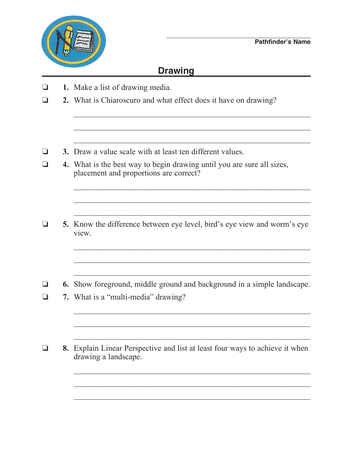

## **Drawing**

 $\mathcal{L}_\text{max} = \frac{1}{2} \sum_{i=1}^{n} \frac{1}{2} \sum_{i=1}^{n} \frac{1}{2} \sum_{i=1}^{n} \frac{1}{2} \sum_{i=1}^{n} \frac{1}{2} \sum_{i=1}^{n} \frac{1}{2} \sum_{i=1}^{n} \frac{1}{2} \sum_{i=1}^{n} \frac{1}{2} \sum_{i=1}^{n} \frac{1}{2} \sum_{i=1}^{n} \frac{1}{2} \sum_{i=1}^{n} \frac{1}{2} \sum_{i=1}^{n} \frac{1}{2} \sum_{i=1}^{n} \frac{1$ 

 $\mathcal{L}_\text{max} = \frac{1}{2} \sum_{i=1}^{n} \frac{1}{2} \sum_{i=1}^{n} \frac{1}{2} \sum_{i=1}^{n} \frac{1}{2} \sum_{i=1}^{n} \frac{1}{2} \sum_{i=1}^{n} \frac{1}{2} \sum_{i=1}^{n} \frac{1}{2} \sum_{i=1}^{n} \frac{1}{2} \sum_{i=1}^{n} \frac{1}{2} \sum_{i=1}^{n} \frac{1}{2} \sum_{i=1}^{n} \frac{1}{2} \sum_{i=1}^{n} \frac{1}{2} \sum_{i=1}^{n} \frac{1$ 

 $\frac{1}{2}$  ,  $\frac{1}{2}$  ,  $\frac{1}{2}$  ,  $\frac{1}{2}$  ,  $\frac{1}{2}$  ,  $\frac{1}{2}$  ,  $\frac{1}{2}$  ,  $\frac{1}{2}$  ,  $\frac{1}{2}$  ,  $\frac{1}{2}$  ,  $\frac{1}{2}$  ,  $\frac{1}{2}$  ,  $\frac{1}{2}$  ,  $\frac{1}{2}$  ,  $\frac{1}{2}$  ,  $\frac{1}{2}$  ,  $\frac{1}{2}$  ,  $\frac{1}{2}$  ,  $\frac{1$ 

- $\Box$  **1.** Make a list of drawing media.
- **2.** What is Chiaroscuro and what effect does it have on drawing?
- $\Box$  **3.** Draw a value scale with at least ten different values.
- $\Box$  **4.** What is the best way to begin drawing until you are sure all sizes, placement and proportions are correct?
- $\Box$  5. Know the difference between eye level, bird's eye view and worm's eye view.

 $\mathcal{L}_\text{max} = \frac{1}{2} \sum_{i=1}^{n} \frac{1}{2} \sum_{i=1}^{n} \frac{1}{2} \sum_{i=1}^{n} \frac{1}{2} \sum_{i=1}^{n} \frac{1}{2} \sum_{i=1}^{n} \frac{1}{2} \sum_{i=1}^{n} \frac{1}{2} \sum_{i=1}^{n} \frac{1}{2} \sum_{i=1}^{n} \frac{1}{2} \sum_{i=1}^{n} \frac{1}{2} \sum_{i=1}^{n} \frac{1}{2} \sum_{i=1}^{n} \frac{1}{2} \sum_{i=1}^{n} \frac{1$ 

 $\mathcal{L}_\text{max} = \frac{1}{2} \sum_{i=1}^{n} \frac{1}{2} \sum_{i=1}^{n} \frac{1}{2} \sum_{i=1}^{n} \frac{1}{2} \sum_{i=1}^{n} \frac{1}{2} \sum_{i=1}^{n} \frac{1}{2} \sum_{i=1}^{n} \frac{1}{2} \sum_{i=1}^{n} \frac{1}{2} \sum_{i=1}^{n} \frac{1}{2} \sum_{i=1}^{n} \frac{1}{2} \sum_{i=1}^{n} \frac{1}{2} \sum_{i=1}^{n} \frac{1}{2} \sum_{i=1}^{n} \frac{1$ 

 $\mathcal{L}_\text{max} = \frac{1}{2} \sum_{i=1}^{n} \frac{1}{2} \sum_{i=1}^{n} \frac{1}{2} \sum_{i=1}^{n} \frac{1}{2} \sum_{i=1}^{n} \frac{1}{2} \sum_{i=1}^{n} \frac{1}{2} \sum_{i=1}^{n} \frac{1}{2} \sum_{i=1}^{n} \frac{1}{2} \sum_{i=1}^{n} \frac{1}{2} \sum_{i=1}^{n} \frac{1}{2} \sum_{i=1}^{n} \frac{1}{2} \sum_{i=1}^{n} \frac{1}{2} \sum_{i=1}^{n} \frac{1$ 

 $\mathcal{L}_\text{max} = \frac{1}{2} \sum_{i=1}^{n} \frac{1}{2} \sum_{i=1}^{n} \frac{1}{2} \sum_{i=1}^{n} \frac{1}{2} \sum_{i=1}^{n} \frac{1}{2} \sum_{i=1}^{n} \frac{1}{2} \sum_{i=1}^{n} \frac{1}{2} \sum_{i=1}^{n} \frac{1}{2} \sum_{i=1}^{n} \frac{1}{2} \sum_{i=1}^{n} \frac{1}{2} \sum_{i=1}^{n} \frac{1}{2} \sum_{i=1}^{n} \frac{1}{2} \sum_{i=1}^{n} \frac{1$ 

 $\frac{1}{2}$  ,  $\frac{1}{2}$  ,  $\frac{1}{2}$  ,  $\frac{1}{2}$  ,  $\frac{1}{2}$  ,  $\frac{1}{2}$  ,  $\frac{1}{2}$  ,  $\frac{1}{2}$  ,  $\frac{1}{2}$  ,  $\frac{1}{2}$  ,  $\frac{1}{2}$  ,  $\frac{1}{2}$  ,  $\frac{1}{2}$  ,  $\frac{1}{2}$  ,  $\frac{1}{2}$  ,  $\frac{1}{2}$  ,  $\frac{1}{2}$  ,  $\frac{1}{2}$  ,  $\frac{1$ 

 $\frac{1}{2}$  ,  $\frac{1}{2}$  ,  $\frac{1}{2}$  ,  $\frac{1}{2}$  ,  $\frac{1}{2}$  ,  $\frac{1}{2}$  ,  $\frac{1}{2}$  ,  $\frac{1}{2}$  ,  $\frac{1}{2}$  ,  $\frac{1}{2}$  ,  $\frac{1}{2}$  ,  $\frac{1}{2}$  ,  $\frac{1}{2}$  ,  $\frac{1}{2}$  ,  $\frac{1}{2}$  ,  $\frac{1}{2}$  ,  $\frac{1}{2}$  ,  $\frac{1}{2}$  ,  $\frac{1$ 

**6.** Show foreground, middle ground and background in a simple landscape.

 $\mathcal{L}_\text{max} = \frac{1}{2} \sum_{i=1}^{n} \frac{1}{2} \sum_{i=1}^{n} \frac{1}{2} \sum_{i=1}^{n} \frac{1}{2} \sum_{i=1}^{n} \frac{1}{2} \sum_{i=1}^{n} \frac{1}{2} \sum_{i=1}^{n} \frac{1}{2} \sum_{i=1}^{n} \frac{1}{2} \sum_{i=1}^{n} \frac{1}{2} \sum_{i=1}^{n} \frac{1}{2} \sum_{i=1}^{n} \frac{1}{2} \sum_{i=1}^{n} \frac{1}{2} \sum_{i=1}^{n} \frac{1$ 

 $\mathcal{L}_\text{max} = \frac{1}{2} \sum_{i=1}^{n} \frac{1}{2} \sum_{i=1}^{n} \frac{1}{2} \sum_{i=1}^{n} \frac{1}{2} \sum_{i=1}^{n} \frac{1}{2} \sum_{i=1}^{n} \frac{1}{2} \sum_{i=1}^{n} \frac{1}{2} \sum_{i=1}^{n} \frac{1}{2} \sum_{i=1}^{n} \frac{1}{2} \sum_{i=1}^{n} \frac{1}{2} \sum_{i=1}^{n} \frac{1}{2} \sum_{i=1}^{n} \frac{1}{2} \sum_{i=1}^{n} \frac{1$ 

 $\mathcal{L}_\text{max} = \frac{1}{2} \sum_{i=1}^{n} \frac{1}{2} \sum_{i=1}^{n} \frac{1}{2} \sum_{i=1}^{n} \frac{1}{2} \sum_{i=1}^{n} \frac{1}{2} \sum_{i=1}^{n} \frac{1}{2} \sum_{i=1}^{n} \frac{1}{2} \sum_{i=1}^{n} \frac{1}{2} \sum_{i=1}^{n} \frac{1}{2} \sum_{i=1}^{n} \frac{1}{2} \sum_{i=1}^{n} \frac{1}{2} \sum_{i=1}^{n} \frac{1}{2} \sum_{i=1}^{n} \frac{1$ 

- $\Box$  **7.** What is a "multi-media" drawing?
- **3.** Explain Linear Perspective and list at least four ways to achieve it when drawing a landscape.

 $\mathcal{L}_\text{max} = \frac{1}{2} \sum_{i=1}^n \frac{1}{2} \sum_{i=1}^n \frac{1}{2} \sum_{i=1}^n \frac{1}{2} \sum_{i=1}^n \frac{1}{2} \sum_{i=1}^n \frac{1}{2} \sum_{i=1}^n \frac{1}{2} \sum_{i=1}^n \frac{1}{2} \sum_{i=1}^n \frac{1}{2} \sum_{i=1}^n \frac{1}{2} \sum_{i=1}^n \frac{1}{2} \sum_{i=1}^n \frac{1}{2} \sum_{i=1}^n \frac{1}{2} \sum_{i=1}^n$ 

 $\mathcal{L}_\text{max} = \frac{1}{2} \sum_{i=1}^{n} \frac{1}{2} \sum_{i=1}^{n} \frac{1}{2} \sum_{i=1}^{n} \frac{1}{2} \sum_{i=1}^{n} \frac{1}{2} \sum_{i=1}^{n} \frac{1}{2} \sum_{i=1}^{n} \frac{1}{2} \sum_{i=1}^{n} \frac{1}{2} \sum_{i=1}^{n} \frac{1}{2} \sum_{i=1}^{n} \frac{1}{2} \sum_{i=1}^{n} \frac{1}{2} \sum_{i=1}^{n} \frac{1}{2} \sum_{i=1}^{n} \frac{1$ 

 $\mathcal{L}_\text{max} = \frac{1}{2} \sum_{i=1}^{n} \frac{1}{2} \sum_{i=1}^{n} \frac{1}{2} \sum_{i=1}^{n} \frac{1}{2} \sum_{i=1}^{n} \frac{1}{2} \sum_{i=1}^{n} \frac{1}{2} \sum_{i=1}^{n} \frac{1}{2} \sum_{i=1}^{n} \frac{1}{2} \sum_{i=1}^{n} \frac{1}{2} \sum_{i=1}^{n} \frac{1}{2} \sum_{i=1}^{n} \frac{1}{2} \sum_{i=1}^{n} \frac{1}{2} \sum_{i=1}^{n} \frac{1$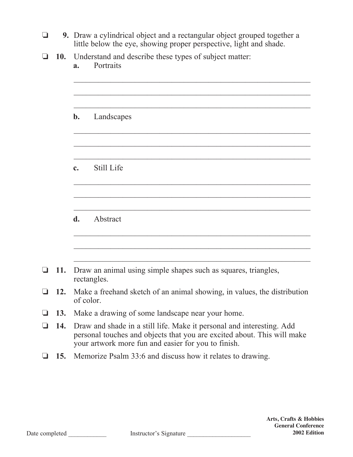- **9.** Draw a cylindrical object and a rectangular object grouped together a little below the eye, showing proper perspective, light and shade.
- **10.** Understand and describe these types of subject matter:

**a.** Portraits

| Landscapes<br>$\mathbf{b}$ .<br>Still Life<br>$\mathbf{c}$ .<br>Abstract<br>d.<br>11.<br>Draw an animal using simple shapes such as squares, triangles,<br>rectangles. |   |     |                                                                                                                                                                                                         |
|------------------------------------------------------------------------------------------------------------------------------------------------------------------------|---|-----|---------------------------------------------------------------------------------------------------------------------------------------------------------------------------------------------------------|
|                                                                                                                                                                        |   |     |                                                                                                                                                                                                         |
|                                                                                                                                                                        |   |     |                                                                                                                                                                                                         |
| ப                                                                                                                                                                      |   |     |                                                                                                                                                                                                         |
|                                                                                                                                                                        |   |     |                                                                                                                                                                                                         |
|                                                                                                                                                                        |   |     |                                                                                                                                                                                                         |
|                                                                                                                                                                        |   |     |                                                                                                                                                                                                         |
|                                                                                                                                                                        |   |     |                                                                                                                                                                                                         |
|                                                                                                                                                                        |   |     |                                                                                                                                                                                                         |
|                                                                                                                                                                        |   |     |                                                                                                                                                                                                         |
|                                                                                                                                                                        |   |     |                                                                                                                                                                                                         |
|                                                                                                                                                                        |   |     |                                                                                                                                                                                                         |
|                                                                                                                                                                        |   |     |                                                                                                                                                                                                         |
| 12.<br>$\Box$<br>of color.                                                                                                                                             |   |     | Make a freehand sketch of an animal showing, in values, the distribution                                                                                                                                |
| 13.<br>Make a drawing of some landscape near your home.<br>❏                                                                                                           |   |     |                                                                                                                                                                                                         |
| 14.<br>$\Box$                                                                                                                                                          |   |     | Draw and shade in a still life. Make it personal and interesting. Add<br>personal touches and objects that you are excited about. This will make<br>your artwork more fun and easier for you to finish. |
|                                                                                                                                                                        | ⊔ | 15. | Memorize Psalm 33:6 and discuss how it relates to drawing.                                                                                                                                              |
|                                                                                                                                                                        |   |     |                                                                                                                                                                                                         |
|                                                                                                                                                                        |   |     |                                                                                                                                                                                                         |